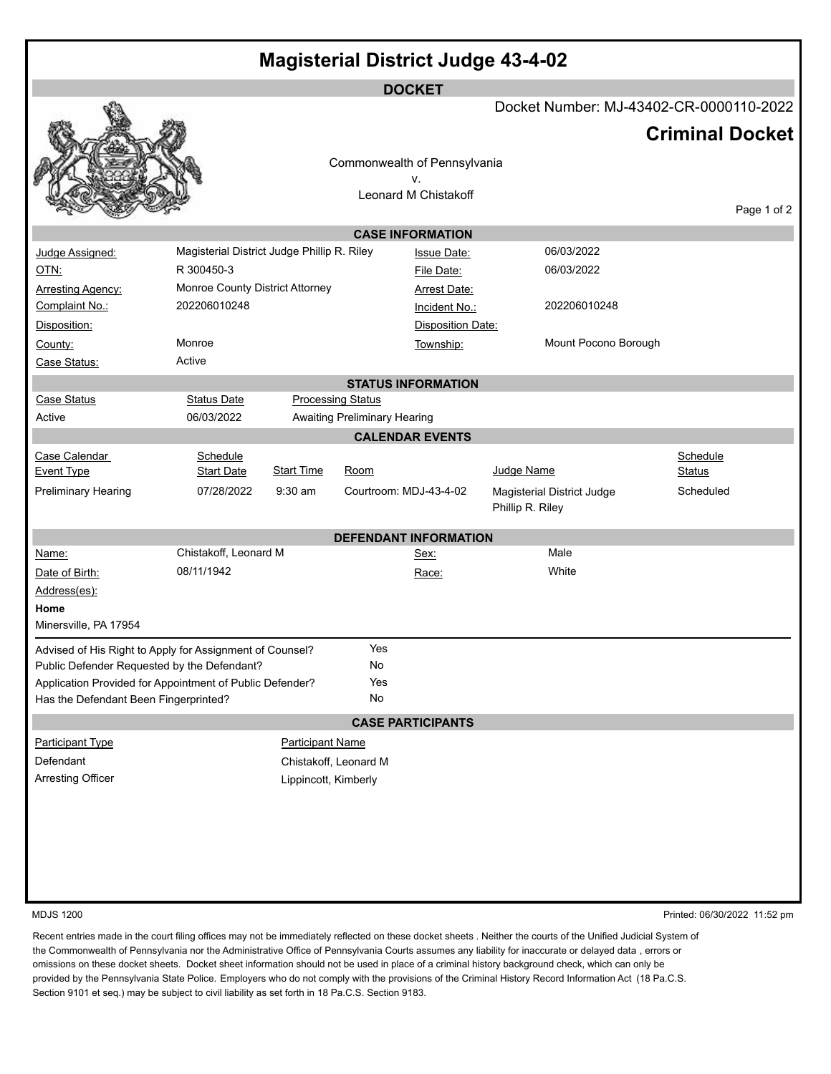| <b>Magisterial District Judge 43-4-02</b>                |                                             |                         |                              |                                    |                  |                                         |                        |  |  |  |  |  |  |
|----------------------------------------------------------|---------------------------------------------|-------------------------|------------------------------|------------------------------------|------------------|-----------------------------------------|------------------------|--|--|--|--|--|--|
| <b>DOCKET</b>                                            |                                             |                         |                              |                                    |                  |                                         |                        |  |  |  |  |  |  |
|                                                          |                                             |                         |                              |                                    |                  | Docket Number: MJ-43402-CR-0000110-2022 | <b>Criminal Docket</b> |  |  |  |  |  |  |
|                                                          |                                             |                         |                              |                                    |                  |                                         |                        |  |  |  |  |  |  |
|                                                          |                                             |                         |                              | Commonwealth of Pennsylvania<br>٧. |                  |                                         |                        |  |  |  |  |  |  |
|                                                          |                                             |                         | Leonard M Chistakoff         |                                    |                  |                                         |                        |  |  |  |  |  |  |
| Page 1 of 2<br><b>CASE INFORMATION</b>                   |                                             |                         |                              |                                    |                  |                                         |                        |  |  |  |  |  |  |
| Judge Assigned:                                          | Magisterial District Judge Phillip R. Riley |                         |                              | <b>Issue Date:</b>                 |                  | 06/03/2022                              |                        |  |  |  |  |  |  |
| <u>OTN:</u>                                              | R 300450-3                                  |                         |                              | File Date:                         |                  | 06/03/2022                              |                        |  |  |  |  |  |  |
| <b>Arresting Agency:</b>                                 | Monroe County District Attorney             |                         |                              | <b>Arrest Date:</b>                |                  |                                         |                        |  |  |  |  |  |  |
| Complaint No.:                                           | 202206010248                                |                         |                              | Incident No.:                      |                  | 202206010248                            |                        |  |  |  |  |  |  |
| Disposition:                                             |                                             |                         |                              | <b>Disposition Date:</b>           |                  |                                         |                        |  |  |  |  |  |  |
| County:                                                  | Monroe                                      |                         |                              | Township:                          |                  | Mount Pocono Borough                    |                        |  |  |  |  |  |  |
| Case Status:                                             | Active                                      |                         |                              |                                    |                  |                                         |                        |  |  |  |  |  |  |
|                                                          |                                             |                         |                              | <b>STATUS INFORMATION</b>          |                  |                                         |                        |  |  |  |  |  |  |
| <b>Case Status</b>                                       | <b>Status Date</b>                          |                         | <b>Processing Status</b>     |                                    |                  |                                         |                        |  |  |  |  |  |  |
| Active                                                   | 06/03/2022                                  |                         | Awaiting Preliminary Hearing |                                    |                  |                                         |                        |  |  |  |  |  |  |
|                                                          |                                             |                         |                              | <b>CALENDAR EVENTS</b>             |                  |                                         |                        |  |  |  |  |  |  |
| Case Calendar                                            | Schedule                                    |                         |                              |                                    |                  |                                         | Schedule               |  |  |  |  |  |  |
| <b>Event Type</b>                                        | <b>Start Date</b>                           | <b>Start Time</b>       | Room                         |                                    | Judge Name       |                                         | Status                 |  |  |  |  |  |  |
| <b>Preliminary Hearing</b>                               | 07/28/2022                                  | $9:30$ am               | Courtroom: MDJ-43-4-02       |                                    | Phillip R. Riley | Magisterial District Judge              | Scheduled              |  |  |  |  |  |  |
|                                                          |                                             |                         |                              | <b>DEFENDANT INFORMATION</b>       |                  |                                         |                        |  |  |  |  |  |  |
| Name:                                                    | Chistakoff, Leonard M                       |                         |                              | Sex:                               |                  | Male                                    |                        |  |  |  |  |  |  |
| Date of Birth:                                           | 08/11/1942                                  |                         |                              | Race:                              |                  | White                                   |                        |  |  |  |  |  |  |
| Address(es):                                             |                                             |                         |                              |                                    |                  |                                         |                        |  |  |  |  |  |  |
| Home                                                     |                                             |                         |                              |                                    |                  |                                         |                        |  |  |  |  |  |  |
| Minersville, PA 17954                                    |                                             |                         |                              |                                    |                  |                                         |                        |  |  |  |  |  |  |
| Advised of His Right to Apply for Assignment of Counsel? |                                             |                         | Yes                          |                                    |                  |                                         |                        |  |  |  |  |  |  |
| Public Defender Requested by the Defendant?              |                                             |                         | No                           |                                    |                  |                                         |                        |  |  |  |  |  |  |
| Application Provided for Appointment of Public Defender? |                                             |                         | Yes                          |                                    |                  |                                         |                        |  |  |  |  |  |  |
| Has the Defendant Been Fingerprinted?                    |                                             |                         | No                           |                                    |                  |                                         |                        |  |  |  |  |  |  |
|                                                          |                                             |                         |                              | <b>CASE PARTICIPANTS</b>           |                  |                                         |                        |  |  |  |  |  |  |
| <b>Participant Type</b>                                  |                                             | <b>Participant Name</b> |                              |                                    |                  |                                         |                        |  |  |  |  |  |  |
| Defendant                                                | Chistakoff, Leonard M                       |                         |                              |                                    |                  |                                         |                        |  |  |  |  |  |  |
| <b>Arresting Officer</b><br>Lippincott, Kimberly         |                                             |                         |                              |                                    |                  |                                         |                        |  |  |  |  |  |  |
|                                                          |                                             |                         |                              |                                    |                  |                                         |                        |  |  |  |  |  |  |
|                                                          |                                             |                         |                              |                                    |                  |                                         |                        |  |  |  |  |  |  |
|                                                          |                                             |                         |                              |                                    |                  |                                         |                        |  |  |  |  |  |  |
|                                                          |                                             |                         |                              |                                    |                  |                                         |                        |  |  |  |  |  |  |
|                                                          |                                             |                         |                              |                                    |                  |                                         |                        |  |  |  |  |  |  |

MDJS 1200 Printed: 06/30/2022 11:52 pm

Recent entries made in the court filing offices may not be immediately reflected on these docket sheets . Neither the courts of the Unified Judicial System of the Commonwealth of Pennsylvania nor the Administrative Office of Pennsylvania Courts assumes any liability for inaccurate or delayed data , errors or omissions on these docket sheets. Docket sheet information should not be used in place of a criminal history background check, which can only be provided by the Pennsylvania State Police. Employers who do not comply with the provisions of the Criminal History Record Information Act (18 Pa.C.S. Section 9101 et seq.) may be subject to civil liability as set forth in 18 Pa.C.S. Section 9183.